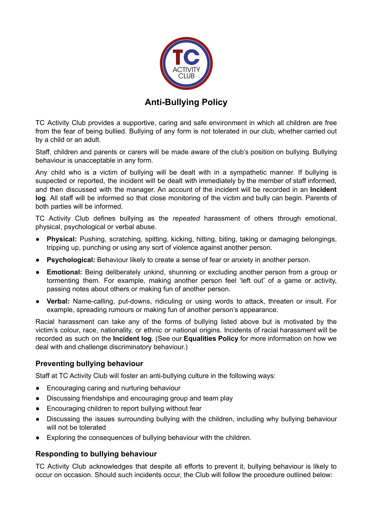

## **Anti-Bullying Policy**

TC Activity Club provides a supportive, caring and safe environment in which all children are free from the fear of being bullied. Bullying of any form is not tolerated in our club, whether carried out by a child or an adult.

Staff, children and parents or carers will be made aware of the club's position on bullying. Bullying behaviour is unacceptable in any form.

Any child who is a victim of bullying will be dealt with in a sympathetic manner. If bullying is suspected or reported, the incident will be dealt with immediately by the member of staff informed, and then discussed with the manager. An account of the incident will be recorded in an **Incident log**. All staff will be informed so that close monitoring of the victim and bully can begin. Parents of both parties will be informed.

TC Activity Club defines bullying as the *repeated* harassment of others through emotional, physical, psychological or verbal abuse.

- **Physical:** Pushing, scratching, spitting, kicking, hitting, biting, taking or damaging belongings, tripping up, punching or using any sort of violence against another person.
- **Psychological:** Behaviour likely to create a sense of fear or anxiety in another person.
- **Emotional:** Being deliberately unkind, shunning or excluding another person from a group or tormenting them. For example, making another person feel 'left out' of a game or activity, passing notes about others or making fun of another person.
- **Verbal:** Name-calling, put-downs, ridiculing or using words to attack, threaten or insult. For example, spreading rumours or making fun of another person's appearance.

Racial harassment can take any of the forms of bullying listed above but is motivated by the victim's colour, race, nationality, or ethnic or national origins. Incidents of racial harassment will be recorded as such on the **Incident log**. (See our **Equalities Policy** for more information on how we deal with and challenge discriminatory behaviour.)

## **Preventing bullying behaviour**

Staff at TC Activity Club will foster an anti-bullying culture in the following ways:

- Encouraging caring and nurturing behaviour
- Discussing friendships and encouraging group and team play
- Encouraging children to report bullying without fear
- Discussing the issues surrounding bullying with the children, including why bullying behaviour will not be tolerated
- Exploring the consequences of bullying behaviour with the children.

## **Responding to bullying behaviour**

TC Activity Club acknowledges that despite all efforts to prevent it, bullying behaviour is likely to occur on occasion. Should such incidents occur, the Club will follow the procedure outlined below: